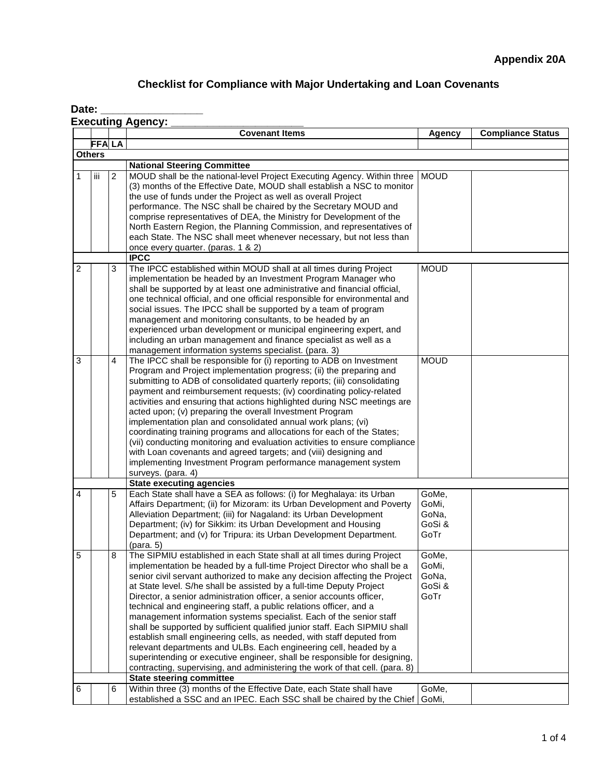# **Checklist for Compliance with Major Undertaking and Loan Covenants**

| Date: |  |
|-------|--|
|-------|--|

| <b>Executing Agency:</b> |  |  |  |
|--------------------------|--|--|--|
|--------------------------|--|--|--|

|   |               |   | <b>Covenant Items</b>                                                                                                                                                                                                                                                                                                                                                                                                                                                                                                                                                                                                                                                                                                                                                                                                                                                                                                  | Agency                                    | <b>Compliance Status</b> |  |
|---|---------------|---|------------------------------------------------------------------------------------------------------------------------------------------------------------------------------------------------------------------------------------------------------------------------------------------------------------------------------------------------------------------------------------------------------------------------------------------------------------------------------------------------------------------------------------------------------------------------------------------------------------------------------------------------------------------------------------------------------------------------------------------------------------------------------------------------------------------------------------------------------------------------------------------------------------------------|-------------------------------------------|--------------------------|--|
|   | <b>FFALA</b>  |   |                                                                                                                                                                                                                                                                                                                                                                                                                                                                                                                                                                                                                                                                                                                                                                                                                                                                                                                        |                                           |                          |  |
|   | <b>Others</b> |   |                                                                                                                                                                                                                                                                                                                                                                                                                                                                                                                                                                                                                                                                                                                                                                                                                                                                                                                        |                                           |                          |  |
|   |               |   | <b>National Steering Committee</b>                                                                                                                                                                                                                                                                                                                                                                                                                                                                                                                                                                                                                                                                                                                                                                                                                                                                                     |                                           |                          |  |
| 1 | iii           | 2 | MOUD shall be the national-level Project Executing Agency. Within three<br>(3) months of the Effective Date, MOUD shall establish a NSC to monitor<br>the use of funds under the Project as well as overall Project<br>performance. The NSC shall be chaired by the Secretary MOUD and<br>comprise representatives of DEA, the Ministry for Development of the<br>North Eastern Region, the Planning Commission, and representatives of<br>each State. The NSC shall meet whenever necessary, but not less than<br>once every quarter. (paras. 1 & 2)                                                                                                                                                                                                                                                                                                                                                                  | <b>MOUD</b>                               |                          |  |
|   |               |   | <b>IPCC</b>                                                                                                                                                                                                                                                                                                                                                                                                                                                                                                                                                                                                                                                                                                                                                                                                                                                                                                            |                                           |                          |  |
| 2 |               | 3 | The IPCC established within MOUD shall at all times during Project<br>implementation be headed by an Investment Program Manager who<br>shall be supported by at least one administrative and financial official,<br>one technical official, and one official responsible for environmental and<br>social issues. The IPCC shall be supported by a team of program<br>management and monitoring consultants, to be headed by an<br>experienced urban development or municipal engineering expert, and<br>including an urban management and finance specialist as well as a<br>management information systems specialist. (para. 3)                                                                                                                                                                                                                                                                                      | <b>MOUD</b>                               |                          |  |
| 3 |               | 4 | The IPCC shall be responsible for (i) reporting to ADB on Investment<br>Program and Project implementation progress; (ii) the preparing and<br>submitting to ADB of consolidated quarterly reports; (iii) consolidating<br>payment and reimbursement requests; (iv) coordinating policy-related<br>activities and ensuring that actions highlighted during NSC meetings are<br>acted upon; (v) preparing the overall Investment Program<br>implementation plan and consolidated annual work plans; (vi)<br>coordinating training programs and allocations for each of the States;<br>(vii) conducting monitoring and evaluation activities to ensure compliance<br>with Loan covenants and agreed targets; and (viii) designing and<br>implementing Investment Program performance management system<br>surveys. (para. 4)                                                                                             | <b>MOUD</b>                               |                          |  |
|   |               |   | <b>State executing agencies</b>                                                                                                                                                                                                                                                                                                                                                                                                                                                                                                                                                                                                                                                                                                                                                                                                                                                                                        |                                           |                          |  |
| 4 |               | 5 | Each State shall have a SEA as follows: (i) for Meghalaya: its Urban<br>Affairs Department; (ii) for Mizoram: its Urban Development and Poverty<br>Alleviation Department; (iii) for Nagaland: its Urban Development<br>Department; (iv) for Sikkim: its Urban Development and Housing<br>Department; and (v) for Tripura: its Urban Development Department.                                                                                                                                                                                                                                                                                                                                                                                                                                                                                                                                                           | GoMe,<br>GoMi,<br>GoNa,<br>GoSi &<br>GoTr |                          |  |
| 5 |               | 8 | The SIPMIU established in each State shall at all times during Project<br>implementation be headed by a full-time Project Director who shall be a<br>senior civil servant authorized to make any decision affecting the Project<br>at State level. S/he shall be assisted by a full-time Deputy Project<br>Director, a senior administration officer, a senior accounts officer,<br>technical and engineering staff, a public relations officer, and a<br>management information systems specialist. Each of the senior staff<br>shall be supported by sufficient qualified junior staff. Each SIPMIU shall<br>establish small engineering cells, as needed, with staff deputed from<br>relevant departments and ULBs. Each engineering cell, headed by a<br>superintending or executive engineer, shall be responsible for designing,<br>contracting, supervising, and administering the work of that cell. (para. 8) | GoMe,<br>GoMi,<br>GoNa,<br>GoSi &<br>GoTr |                          |  |
|   |               |   | <b>State steering committee</b>                                                                                                                                                                                                                                                                                                                                                                                                                                                                                                                                                                                                                                                                                                                                                                                                                                                                                        |                                           |                          |  |
| 6 |               | 6 | Within three (3) months of the Effective Date, each State shall have<br>established a SSC and an IPEC. Each SSC shall be chaired by the Chief                                                                                                                                                                                                                                                                                                                                                                                                                                                                                                                                                                                                                                                                                                                                                                          | GoMe,<br>GoMi,                            |                          |  |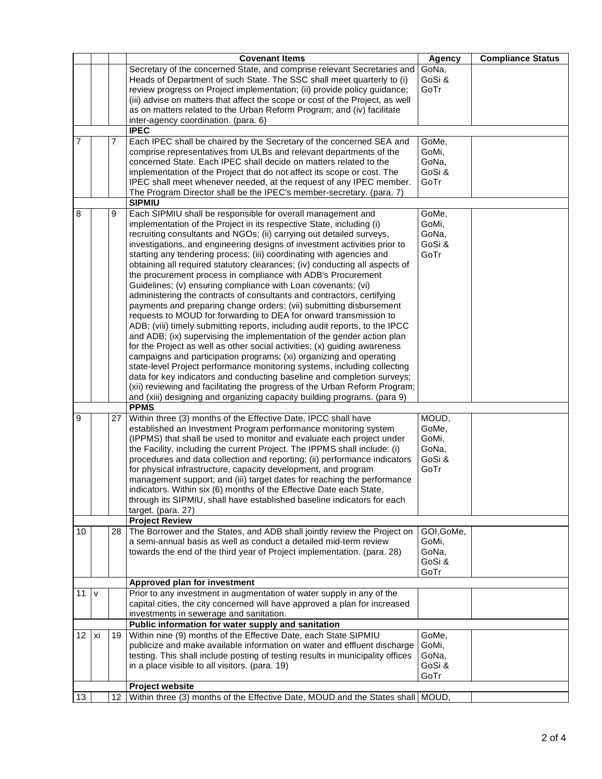|    |      |    | <b>Covenant Items</b>                                                          | <b>Agency</b> | <b>Compliance Status</b> |
|----|------|----|--------------------------------------------------------------------------------|---------------|--------------------------|
|    |      |    | Secretary of the concerned State, and comprise relevant Secretaries and        | GoNa,         |                          |
|    |      |    | Heads of Department of such State. The SSC shall meet quarterly to (i)         | GoSi &        |                          |
|    |      |    | review progress on Project implementation; (ii) provide policy guidance;       | GoTr          |                          |
|    |      |    | (iii) advise on matters that affect the scope or cost of the Project, as well  |               |                          |
|    |      |    | as on matters related to the Urban Reform Program; and (iv) facilitate         |               |                          |
|    |      |    | inter-agency coordination. (para. 6)                                           |               |                          |
|    |      |    | <b>IPEC</b>                                                                    |               |                          |
| 7  |      | 7  | Each IPEC shall be chaired by the Secretary of the concerned SEA and           | GoMe,         |                          |
|    |      |    | comprise representatives from ULBs and relevant departments of the             | GoMi,         |                          |
|    |      |    | concerned State. Each IPEC shall decide on matters related to the              | GoNa,         |                          |
|    |      |    | implementation of the Project that do not affect its scope or cost. The        | GoSi &        |                          |
|    |      |    | IPEC shall meet whenever needed, at the request of any IPEC member.            | GoTr          |                          |
|    |      |    | The Program Director shall be the IPEC's member-secretary. (para. 7)           |               |                          |
|    |      |    | <b>SIPMIU</b>                                                                  |               |                          |
| 8  |      | 9  | Each SIPMIU shall be responsible for overall management and                    | GoMe,         |                          |
|    |      |    | implementation of the Project in its respective State, including (i)           | GoMi,         |                          |
|    |      |    | recruiting consultants and NGOs; (ii) carrying out detailed surveys,           | GoNa,         |                          |
|    |      |    | investigations, and engineering designs of investment activities prior to      | GoSi &        |                          |
|    |      |    | starting any tendering process; (iii) coordinating with agencies and           | GoTr          |                          |
|    |      |    | obtaining all required statutory clearances; (iv) conducting all aspects of    |               |                          |
|    |      |    | the procurement process in compliance with ADB's Procurement                   |               |                          |
|    |      |    | Guidelines; (v) ensuring compliance with Loan covenants; (vi)                  |               |                          |
|    |      |    | administering the contracts of consultants and contractors, certifying         |               |                          |
|    |      |    | payments and preparing change orders; (vii) submitting disbursement            |               |                          |
|    |      |    | requests to MOUD for forwarding to DEA for onward transmission to              |               |                          |
|    |      |    | ADB; (viii) timely submitting reports, including audit reports, to the IPCC    |               |                          |
|    |      |    | and ADB; (ix) supervising the implementation of the gender action plan         |               |                          |
|    |      |    | for the Project as well as other social activities; (x) guiding awareness      |               |                          |
|    |      |    | campaigns and participation programs; (xi) organizing and operating            |               |                          |
|    |      |    | state-level Project performance monitoring systems, including collecting       |               |                          |
|    |      |    | data for key indicators and conducting baseline and completion surveys;        |               |                          |
|    |      |    | (xii) reviewing and facilitating the progress of the Urban Reform Program;     |               |                          |
|    |      |    | and (xiii) designing and organizing capacity building programs. (para 9)       |               |                          |
|    |      |    | <b>PPMS</b>                                                                    |               |                          |
| 9  |      | 27 | Within three (3) months of the Effective Date, IPCC shall have                 | MOUD,         |                          |
|    |      |    | established an Investment Program performance monitoring system                | GoMe,         |                          |
|    |      |    | (IPPMS) that shall be used to monitor and evaluate each project under          | GoMi,         |                          |
|    |      |    | the Facility, including the current Project. The IPPMS shall include: (i)      | GoNa,         |                          |
|    |      |    | procedures and data collection and reporting; (ii) performance indicators      | GoSi &        |                          |
|    |      |    | for physical infrastructure, capacity development, and program                 | GoTr          |                          |
|    |      |    | management support; and (iii) target dates for reaching the performance        |               |                          |
|    |      |    | indicators. Within six (6) months of the Effective Date each State,            |               |                          |
|    |      |    | through its SIPMIU, shall have established baseline indicators for each        |               |                          |
|    |      |    | target. (para. 27)                                                             |               |                          |
|    |      |    | <b>Project Review</b>                                                          |               |                          |
| 10 |      | 28 | The Borrower and the States, and ADB shall jointly review the Project on       | GOI, GoMe,    |                          |
|    |      |    | a semi-annual basis as well as conduct a detailed mid-term review              | GoMi,         |                          |
|    |      |    | towards the end of the third year of Project implementation. (para. 28)        | GoNa,         |                          |
|    |      |    |                                                                                | GoSi &        |                          |
|    |      |    |                                                                                | GoTr          |                          |
|    |      |    | Approved plan for investment                                                   |               |                          |
| 11 | V    |    | Prior to any investment in augmentation of water supply in any of the          |               |                          |
|    |      |    | capital cities, the city concerned will have approved a plan for increased     |               |                          |
|    |      |    | investments in sewerage and sanitation.                                        |               |                          |
|    |      |    | Public information for water supply and sanitation                             |               |                          |
| 12 | l xi | 19 | Within nine (9) months of the Effective Date, each State SIPMIU                | GoMe,         |                          |
|    |      |    | publicize and make available information on water and effluent discharge       | GoMi,         |                          |
|    |      |    | testing. This shall include posting of testing results in municipality offices | GoNa,         |                          |
|    |      |    | in a place visible to all visitors. (para. 19)                                 | GoSi &        |                          |
|    |      |    |                                                                                | GoTr          |                          |
|    |      |    | <b>Project website</b>                                                         |               |                          |
| 13 |      | 12 | Within three (3) months of the Effective Date, MOUD and the States shall       | MOUD.         |                          |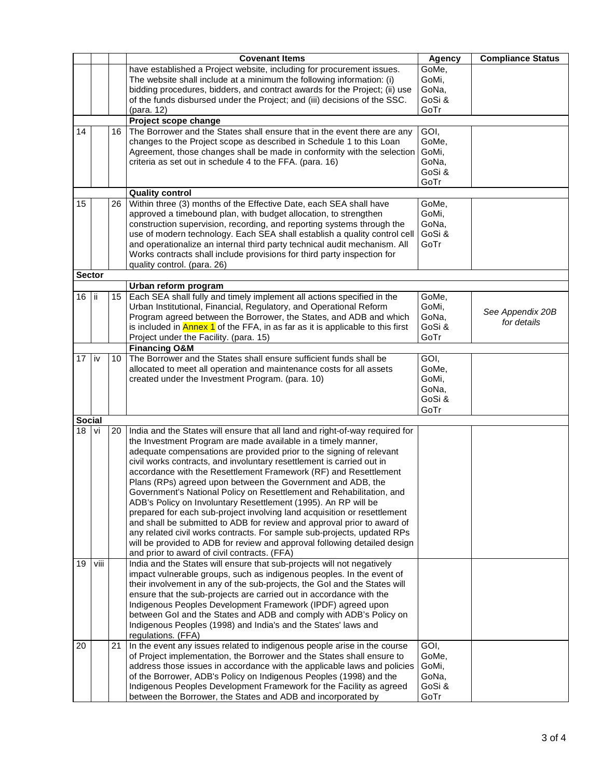|               |      |                 | <b>Covenant Items</b>                                                                                                                         | <b>Agency</b> | <b>Compliance Status</b> |
|---------------|------|-----------------|-----------------------------------------------------------------------------------------------------------------------------------------------|---------------|--------------------------|
|               |      |                 | have established a Project website, including for procurement issues.                                                                         | GoMe,         |                          |
|               |      |                 | The website shall include at a minimum the following information: (i)                                                                         | GoMi,         |                          |
|               |      |                 | bidding procedures, bidders, and contract awards for the Project; (ii) use                                                                    | GoNa,         |                          |
|               |      |                 | of the funds disbursed under the Project; and (iii) decisions of the SSC.                                                                     | GoSi &        |                          |
|               |      |                 | (para, 12)                                                                                                                                    | GoTr          |                          |
|               |      |                 | Project scope change                                                                                                                          |               |                          |
| 14            |      | 16              | The Borrower and the States shall ensure that in the event there are any                                                                      | GOI,          |                          |
|               |      |                 | changes to the Project scope as described in Schedule 1 to this Loan                                                                          | GoMe,         |                          |
|               |      |                 | Agreement, those changes shall be made in conformity with the selection                                                                       | GoMi,         |                          |
|               |      |                 | criteria as set out in schedule 4 to the FFA. (para. 16)                                                                                      | GoNa,         |                          |
|               |      |                 |                                                                                                                                               | GoSi &        |                          |
|               |      |                 |                                                                                                                                               | GoTr          |                          |
|               |      |                 | <b>Quality control</b>                                                                                                                        |               |                          |
| 15            |      | 26              | Within three (3) months of the Effective Date, each SEA shall have                                                                            | GoMe,         |                          |
|               |      |                 | approved a timebound plan, with budget allocation, to strengthen                                                                              | GoMi.         |                          |
|               |      |                 | construction supervision, recording, and reporting systems through the                                                                        | GoNa,         |                          |
|               |      |                 | use of modern technology. Each SEA shall establish a quality control cell                                                                     | GoSi &        |                          |
|               |      |                 | and operationalize an internal third party technical audit mechanism. All                                                                     | GoTr          |                          |
|               |      |                 | Works contracts shall include provisions for third party inspection for                                                                       |               |                          |
|               |      |                 | quality control. (para. 26)                                                                                                                   |               |                          |
| Sector        |      |                 |                                                                                                                                               |               |                          |
|               |      |                 | Urban reform program                                                                                                                          |               |                          |
| 16            | ii   | 15 <sub>1</sub> | Each SEA shall fully and timely implement all actions specified in the                                                                        | GoMe,         |                          |
|               |      |                 | Urban Institutional, Financial, Regulatory, and Operational Reform                                                                            | GoMi,         | See Appendix 20B         |
|               |      |                 | Program agreed between the Borrower, the States, and ADB and which                                                                            | GoNa,         | for details              |
|               |      |                 | is included in <b>Annex 1</b> of the FFA, in as far as it is applicable to this first                                                         | GoSi &        |                          |
|               |      |                 | Project under the Facility. (para. 15)                                                                                                        | GoTr          |                          |
|               |      |                 | <b>Financing O&amp;M</b>                                                                                                                      |               |                          |
| 17            | l iv | 10              | The Borrower and the States shall ensure sufficient funds shall be                                                                            | GOI,          |                          |
|               |      |                 | allocated to meet all operation and maintenance costs for all assets                                                                          | GoMe,         |                          |
|               |      |                 | created under the Investment Program. (para. 10)                                                                                              | GoMi,         |                          |
|               |      |                 |                                                                                                                                               | GoNa,         |                          |
|               |      |                 |                                                                                                                                               | GoSi &        |                          |
|               |      |                 |                                                                                                                                               | GoTr          |                          |
| <b>Social</b> |      |                 |                                                                                                                                               |               |                          |
| 18            | vi   | 20              | India and the States will ensure that all land and right-of-way required for                                                                  |               |                          |
|               |      |                 | the Investment Program are made available in a timely manner,                                                                                 |               |                          |
|               |      |                 | adequate compensations are provided prior to the signing of relevant<br>civil works contracts, and involuntary resettlement is carried out in |               |                          |
|               |      |                 | accordance with the Resettlement Framework (RF) and Resettlement                                                                              |               |                          |
|               |      |                 | Plans (RPs) agreed upon between the Government and ADB, the                                                                                   |               |                          |
|               |      |                 | Government's National Policy on Resettlement and Rehabilitation, and                                                                          |               |                          |
|               |      |                 | ADB's Policy on Involuntary Resettlement (1995). An RP will be                                                                                |               |                          |
|               |      |                 | prepared for each sub-project involving land acquisition or resettlement                                                                      |               |                          |
|               |      |                 | and shall be submitted to ADB for review and approval prior to award of                                                                       |               |                          |
|               |      |                 | any related civil works contracts. For sample sub-projects, updated RPs                                                                       |               |                          |
|               |      |                 | will be provided to ADB for review and approval following detailed design                                                                     |               |                          |
|               |      |                 | and prior to award of civil contracts. (FFA)                                                                                                  |               |                          |
| 19            | viii |                 | India and the States will ensure that sub-projects will not negatively                                                                        |               |                          |
|               |      |                 | impact vulnerable groups, such as indigenous peoples. In the event of                                                                         |               |                          |
|               |      |                 | their involvement in any of the sub-projects, the Gol and the States will                                                                     |               |                          |
|               |      |                 | ensure that the sub-projects are carried out in accordance with the                                                                           |               |                          |
|               |      |                 | Indigenous Peoples Development Framework (IPDF) agreed upon                                                                                   |               |                          |
|               |      |                 | between GoI and the States and ADB and comply with ADB's Policy on                                                                            |               |                          |
|               |      |                 | Indigenous Peoples (1998) and India's and the States' laws and                                                                                |               |                          |
|               |      |                 | regulations. (FFA)                                                                                                                            |               |                          |
| 20            |      | 21              | In the event any issues related to indigenous people arise in the course                                                                      | GOI,          |                          |
|               |      |                 | of Project implementation, the Borrower and the States shall ensure to                                                                        | GoMe,         |                          |
|               |      |                 | address those issues in accordance with the applicable laws and policies                                                                      | GoMi,         |                          |
|               |      |                 | of the Borrower, ADB's Policy on Indigenous Peoples (1998) and the                                                                            | GoNa,         |                          |
|               |      |                 | Indigenous Peoples Development Framework for the Facility as agreed                                                                           | GoSi &        |                          |
|               |      |                 | between the Borrower, the States and ADB and incorporated by                                                                                  | GoTr          |                          |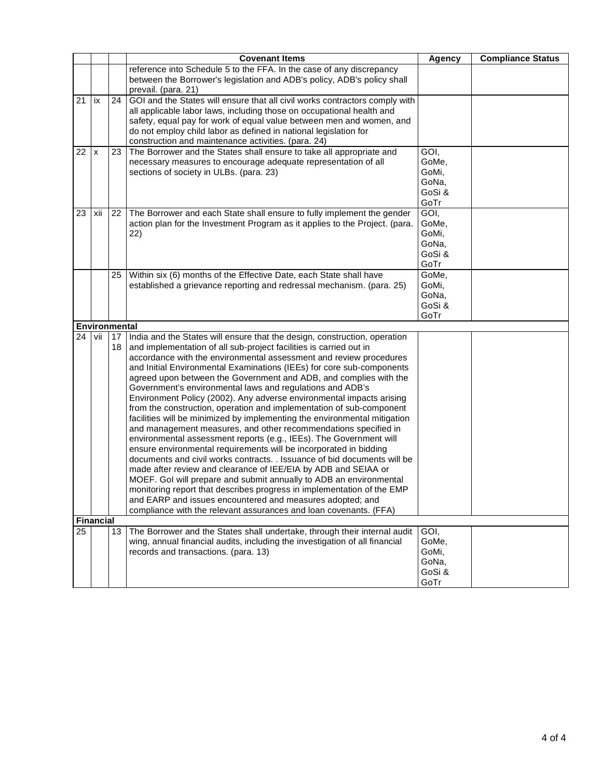|    |                      |                 | <b>Covenant Items</b>                                                                                                                                                                                                                                                                                                                                                                                                                                                                                                                                                                                                                                                                                                                                                                                                                                                                                                                                                                                                                                                                                                                                                                                                                                                                                       | <b>Agency</b>                                     | <b>Compliance Status</b> |
|----|----------------------|-----------------|-------------------------------------------------------------------------------------------------------------------------------------------------------------------------------------------------------------------------------------------------------------------------------------------------------------------------------------------------------------------------------------------------------------------------------------------------------------------------------------------------------------------------------------------------------------------------------------------------------------------------------------------------------------------------------------------------------------------------------------------------------------------------------------------------------------------------------------------------------------------------------------------------------------------------------------------------------------------------------------------------------------------------------------------------------------------------------------------------------------------------------------------------------------------------------------------------------------------------------------------------------------------------------------------------------------|---------------------------------------------------|--------------------------|
|    |                      |                 | reference into Schedule 5 to the FFA. In the case of any discrepancy                                                                                                                                                                                                                                                                                                                                                                                                                                                                                                                                                                                                                                                                                                                                                                                                                                                                                                                                                                                                                                                                                                                                                                                                                                        |                                                   |                          |
|    |                      |                 | between the Borrower's legislation and ADB's policy, ADB's policy shall                                                                                                                                                                                                                                                                                                                                                                                                                                                                                                                                                                                                                                                                                                                                                                                                                                                                                                                                                                                                                                                                                                                                                                                                                                     |                                                   |                          |
| 21 | ix                   | $\overline{24}$ | prevail. (para. 21)<br>GOI and the States will ensure that all civil works contractors comply with<br>all applicable labor laws, including those on occupational health and<br>safety, equal pay for work of equal value between men and women, and<br>do not employ child labor as defined in national legislation for<br>construction and maintenance activities. (para. 24)                                                                                                                                                                                                                                                                                                                                                                                                                                                                                                                                                                                                                                                                                                                                                                                                                                                                                                                              |                                                   |                          |
| 22 | X                    | 23              | The Borrower and the States shall ensure to take all appropriate and<br>necessary measures to encourage adequate representation of all<br>sections of society in ULBs. (para. 23)                                                                                                                                                                                                                                                                                                                                                                                                                                                                                                                                                                                                                                                                                                                                                                                                                                                                                                                                                                                                                                                                                                                           | GOI,<br>GoMe,<br>GoMi,<br>GoNa,<br>GoSi &<br>GoTr |                          |
| 23 | xii                  | 22              | The Borrower and each State shall ensure to fully implement the gender<br>action plan for the Investment Program as it applies to the Project. (para.<br>22)                                                                                                                                                                                                                                                                                                                                                                                                                                                                                                                                                                                                                                                                                                                                                                                                                                                                                                                                                                                                                                                                                                                                                | GOI,<br>GoMe,<br>GoMi,<br>GoNa,<br>GoSi &<br>GoTr |                          |
|    |                      | 25              | Within six (6) months of the Effective Date, each State shall have<br>established a grievance reporting and redressal mechanism. (para. 25)                                                                                                                                                                                                                                                                                                                                                                                                                                                                                                                                                                                                                                                                                                                                                                                                                                                                                                                                                                                                                                                                                                                                                                 | GoMe,<br>GoMi,<br>GoNa,<br>GoSi &<br>GoTr         |                          |
|    | <b>Environmental</b> |                 |                                                                                                                                                                                                                                                                                                                                                                                                                                                                                                                                                                                                                                                                                                                                                                                                                                                                                                                                                                                                                                                                                                                                                                                                                                                                                                             |                                                   |                          |
| 24 | vii                  | 17<br>18        | India and the States will ensure that the design, construction, operation<br>and implementation of all sub-project facilities is carried out in<br>accordance with the environmental assessment and review procedures<br>and Initial Environmental Examinations (IEEs) for core sub-components<br>agreed upon between the Government and ADB, and complies with the<br>Government's environmental laws and regulations and ADB's<br>Environment Policy (2002). Any adverse environmental impacts arising<br>from the construction, operation and implementation of sub-component<br>facilities will be minimized by implementing the environmental mitigation<br>and management measures, and other recommendations specified in<br>environmental assessment reports (e.g., IEEs). The Government will<br>ensure environmental requirements will be incorporated in bidding<br>documents and civil works contracts. . Issuance of bid documents will be<br>made after review and clearance of IEE/EIA by ADB and SEIAA or<br>MOEF. Gol will prepare and submit annually to ADB an environmental<br>monitoring report that describes progress in implementation of the EMP<br>and EARP and issues encountered and measures adopted; and<br>compliance with the relevant assurances and loan covenants. (FFA) |                                                   |                          |
|    | <b>Financial</b>     |                 |                                                                                                                                                                                                                                                                                                                                                                                                                                                                                                                                                                                                                                                                                                                                                                                                                                                                                                                                                                                                                                                                                                                                                                                                                                                                                                             |                                                   |                          |
| 25 |                      | 13              | The Borrower and the States shall undertake, through their internal audit<br>wing, annual financial audits, including the investigation of all financial<br>records and transactions. (para. 13)                                                                                                                                                                                                                                                                                                                                                                                                                                                                                                                                                                                                                                                                                                                                                                                                                                                                                                                                                                                                                                                                                                            | GOI.<br>GoMe,<br>GoMi,<br>GoNa,<br>GoSi &<br>GoTr |                          |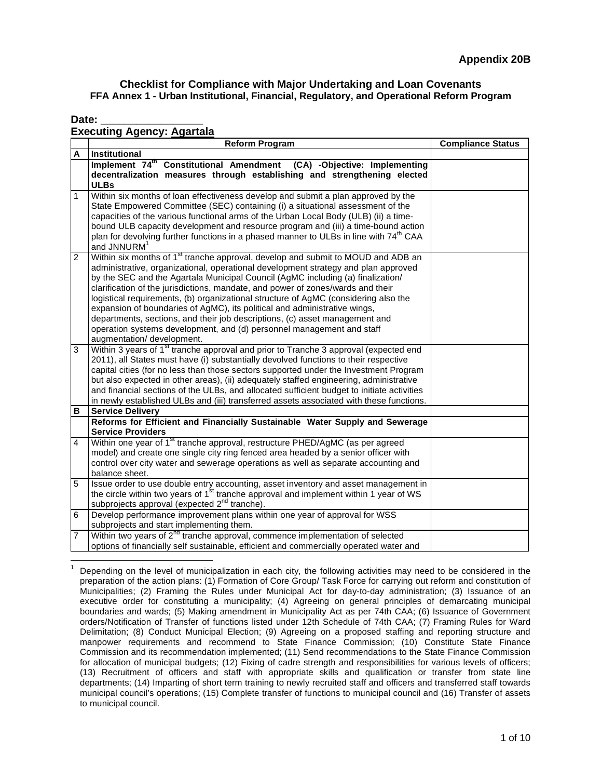#### Date:

### **Executing Agency: Agartala**

|                | <b>Reform Program</b>                                                                                                                                                                                                                                                                                                                                                                                                                                                                                                                                                                                                                                                                                             | <b>Compliance Status</b> |
|----------------|-------------------------------------------------------------------------------------------------------------------------------------------------------------------------------------------------------------------------------------------------------------------------------------------------------------------------------------------------------------------------------------------------------------------------------------------------------------------------------------------------------------------------------------------------------------------------------------------------------------------------------------------------------------------------------------------------------------------|--------------------------|
| A              | Institutional                                                                                                                                                                                                                                                                                                                                                                                                                                                                                                                                                                                                                                                                                                     |                          |
|                | Implement 74 <sup>th</sup> Constitutional Amendment (CA) -Objective: Implementing<br>decentralization measures through establishing and strengthening elected<br><b>ULBs</b>                                                                                                                                                                                                                                                                                                                                                                                                                                                                                                                                      |                          |
| 1              | Within six months of loan effectiveness develop and submit a plan approved by the<br>State Empowered Committee (SEC) containing (i) a situational assessment of the<br>capacities of the various functional arms of the Urban Local Body (ULB) (ii) a time-<br>bound ULB capacity development and resource program and (iii) a time-bound action<br>plan for devolving further functions in a phased manner to ULBs in line with 74 <sup>th</sup> CAA<br>and JNNURM <sup>1</sup>                                                                                                                                                                                                                                  |                          |
| 2              | Within six months of 1 <sup>st</sup> tranche approval, develop and submit to MOUD and ADB an<br>administrative, organizational, operational development strategy and plan approved<br>by the SEC and the Agartala Municipal Council (AgMC including (a) finalization/<br>clarification of the jurisdictions, mandate, and power of zones/wards and their<br>logistical requirements, (b) organizational structure of AgMC (considering also the<br>expansion of boundaries of AgMC), its political and administrative wings,<br>departments, sections, and their job descriptions, (c) asset management and<br>operation systems development, and (d) personnel management and staff<br>augmentation/development. |                          |
| 3              | Within 3 years of 1 <sup>st</sup> tranche approval and prior to Tranche 3 approval (expected end<br>2011), all States must have (i) substantially devolved functions to their respective<br>capital cities (for no less than those sectors supported under the Investment Program<br>but also expected in other areas), (ii) adequately staffed engineering, administrative<br>and financial sections of the ULBs, and allocated sufficient budget to initiate activities<br>in newly established ULBs and (iii) transferred assets associated with these functions.                                                                                                                                              |                          |
| В              | Service Delivery                                                                                                                                                                                                                                                                                                                                                                                                                                                                                                                                                                                                                                                                                                  |                          |
|                | Reforms for Efficient and Financially Sustainable Water Supply and Sewerage<br><b>Service Providers</b>                                                                                                                                                                                                                                                                                                                                                                                                                                                                                                                                                                                                           |                          |
| $\overline{4}$ | Within one year of 1 <sup>st</sup> tranche approval, restructure PHED/AgMC (as per agreed<br>model) and create one single city ring fenced area headed by a senior officer with<br>control over city water and sewerage operations as well as separate accounting and<br>balance sheet.                                                                                                                                                                                                                                                                                                                                                                                                                           |                          |
| 5              | Issue order to use double entry accounting, asset inventory and asset management in<br>the circle within two years of 1 <sup>st</sup> tranche approval and implement within 1 year of WS<br>subprojects approval (expected 2 <sup>nd</sup> tranche).                                                                                                                                                                                                                                                                                                                                                                                                                                                              |                          |
| 6              | Develop performance improvement plans within one year of approval for WSS<br>subprojects and start implementing them.                                                                                                                                                                                                                                                                                                                                                                                                                                                                                                                                                                                             |                          |
| $\overline{7}$ | Within two years of 2 <sup>nd</sup> tranche approval, commence implementation of selected<br>options of financially self sustainable, efficient and commercially operated water and                                                                                                                                                                                                                                                                                                                                                                                                                                                                                                                               |                          |

 $\overline{a}$ 1 Depending on the level of municipalization in each city, the following activities may need to be considered in the preparation of the action plans: (1) Formation of Core Group/ Task Force for carrying out reform and constitution of Municipalities; (2) Framing the Rules under Municipal Act for day-to-day administration; (3) Issuance of an executive order for constituting a municipality; (4) Agreeing on general principles of demarcating municipal boundaries and wards; (5) Making amendment in Municipality Act as per 74th CAA; (6) Issuance of Government orders/Notification of Transfer of functions listed under 12th Schedule of 74th CAA; (7) Framing Rules for Ward Delimitation; (8) Conduct Municipal Election; (9) Agreeing on a proposed staffing and reporting structure and manpower requirements and recommend to State Finance Commission; (10) Constitute State Finance Commission and its recommendation implemented; (11) Send recommendations to the State Finance Commission for allocation of municipal budgets; (12) Fixing of cadre strength and responsibilities for various levels of officers; (13) Recruitment of officers and staff with appropriate skills and qualification or transfer from state line departments; (14) Imparting of short term training to newly recruited staff and officers and transferred staff towards municipal council's operations; (15) Complete transfer of functions to municipal council and (16) Transfer of assets to municipal council.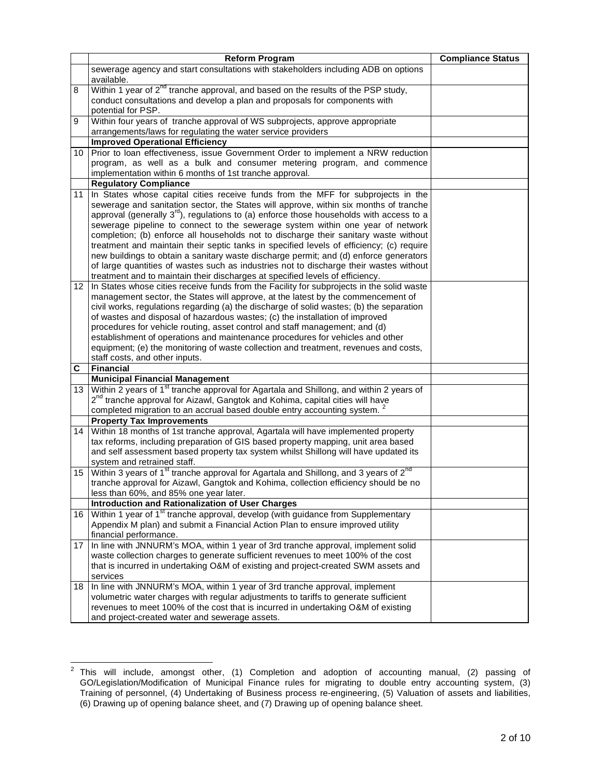|                 | <b>Reform Program</b>                                                                                                                                                        | <b>Compliance Status</b> |
|-----------------|------------------------------------------------------------------------------------------------------------------------------------------------------------------------------|--------------------------|
|                 | sewerage agency and start consultations with stakeholders including ADB on options                                                                                           |                          |
|                 | available.                                                                                                                                                                   |                          |
| 8               | Within 1 year of 2 <sup>nd</sup> tranche approval, and based on the results of the PSP study,                                                                                |                          |
|                 | conduct consultations and develop a plan and proposals for components with                                                                                                   |                          |
|                 | potential for PSP.                                                                                                                                                           |                          |
| 9               | Within four years of tranche approval of WS subprojects, approve appropriate<br>arrangements/laws for regulating the water service providers                                 |                          |
|                 | <b>Improved Operational Efficiency</b>                                                                                                                                       |                          |
| $10-1$          | Prior to loan effectiveness, issue Government Order to implement a NRW reduction                                                                                             |                          |
|                 | program, as well as a bulk and consumer metering program, and commence                                                                                                       |                          |
|                 | implementation within 6 months of 1st tranche approval.                                                                                                                      |                          |
|                 | <b>Regulatory Compliance</b>                                                                                                                                                 |                          |
| 11 I            | In States whose capital cities receive funds from the MFF for subprojects in the                                                                                             |                          |
|                 | sewerage and sanitation sector, the States will approve, within six months of tranche                                                                                        |                          |
|                 | approval (generally $3^{rd}$ ), regulations to (a) enforce those households with access to a                                                                                 |                          |
|                 | sewerage pipeline to connect to the sewerage system within one year of network                                                                                               |                          |
|                 | completion; (b) enforce all households not to discharge their sanitary waste without                                                                                         |                          |
|                 | treatment and maintain their septic tanks in specified levels of efficiency; (c) require                                                                                     |                          |
|                 | new buildings to obtain a sanitary waste discharge permit; and (d) enforce generators                                                                                        |                          |
|                 | of large quantities of wastes such as industries not to discharge their wastes without                                                                                       |                          |
|                 | treatment and to maintain their discharges at specified levels of efficiency.                                                                                                |                          |
| $12-1$          | In States whose cities receive funds from the Facility for subprojects in the solid waste                                                                                    |                          |
|                 | management sector, the States will approve, at the latest by the commencement of<br>civil works, regulations regarding (a) the discharge of solid wastes; (b) the separation |                          |
|                 | of wastes and disposal of hazardous wastes; (c) the installation of improved                                                                                                 |                          |
|                 | procedures for vehicle routing, asset control and staff management; and (d)                                                                                                  |                          |
|                 | establishment of operations and maintenance procedures for vehicles and other                                                                                                |                          |
|                 | equipment; (e) the monitoring of waste collection and treatment, revenues and costs,                                                                                         |                          |
|                 | staff costs, and other inputs.                                                                                                                                               |                          |
| C               | <b>Financial</b>                                                                                                                                                             |                          |
|                 | <b>Municipal Financial Management</b>                                                                                                                                        |                          |
| 13 <sup>1</sup> | Within 2 years of 1 <sup>st</sup> tranche approval for Agartala and Shillong, and within 2 years of                                                                          |                          |
|                 | 2 <sup>nd</sup> tranche approval for Aizawl, Gangtok and Kohima, capital cities will have                                                                                    |                          |
|                 | completed migration to an accrual based double entry accounting system.                                                                                                      |                          |
|                 | <b>Property Tax Improvements</b>                                                                                                                                             |                          |
| 14              | Within 18 months of 1st tranche approval, Agartala will have implemented property                                                                                            |                          |
|                 | tax reforms, including preparation of GIS based property mapping, unit area based<br>and self assessment based property tax system whilst Shillong will have updated its     |                          |
|                 | system and retrained staff.                                                                                                                                                  |                          |
| 15              | Within 3 years of 1 <sup>st</sup> tranche approval for Agartala and Shillong, and 3 years of 2 <sup>nd</sup>                                                                 |                          |
|                 | tranche approval for Aizawl, Gangtok and Kohima, collection efficiency should be no                                                                                          |                          |
|                 | less than 60%, and 85% one year later.                                                                                                                                       |                          |
|                 | <b>Introduction and Rationalization of User Charges</b>                                                                                                                      |                          |
| 16 <sup>1</sup> | Within 1 year of 1 <sup>st</sup> tranche approval, develop (with guidance from Supplementary                                                                                 |                          |
|                 | Appendix M plan) and submit a Financial Action Plan to ensure improved utility                                                                                               |                          |
|                 | financial performance.                                                                                                                                                       |                          |
| 17 I            | In line with JNNURM's MOA, within 1 year of 3rd tranche approval, implement solid                                                                                            |                          |
|                 | waste collection charges to generate sufficient revenues to meet 100% of the cost                                                                                            |                          |
|                 | that is incurred in undertaking O&M of existing and project-created SWM assets and                                                                                           |                          |
|                 | services                                                                                                                                                                     |                          |
| 18 I            | In line with JNNURM's MOA, within 1 year of 3rd tranche approval, implement                                                                                                  |                          |
|                 | volumetric water charges with regular adjustments to tariffs to generate sufficient                                                                                          |                          |
|                 | revenues to meet 100% of the cost that is incurred in undertaking O&M of existing                                                                                            |                          |
|                 | and project-created water and sewerage assets.                                                                                                                               |                          |

 $^2$  This will include, amongst other, (1) Completion and adoption of accounting manual, (2) passing of GO/Legislation/Modification of Municipal Finance rules for migrating to double entry accounting system, (3) Training of personnel, (4) Undertaking of Business process re-engineering, (5) Valuation of assets and liabilities, (6) Drawing up of opening balance sheet, and (7) Drawing up of opening balance sheet.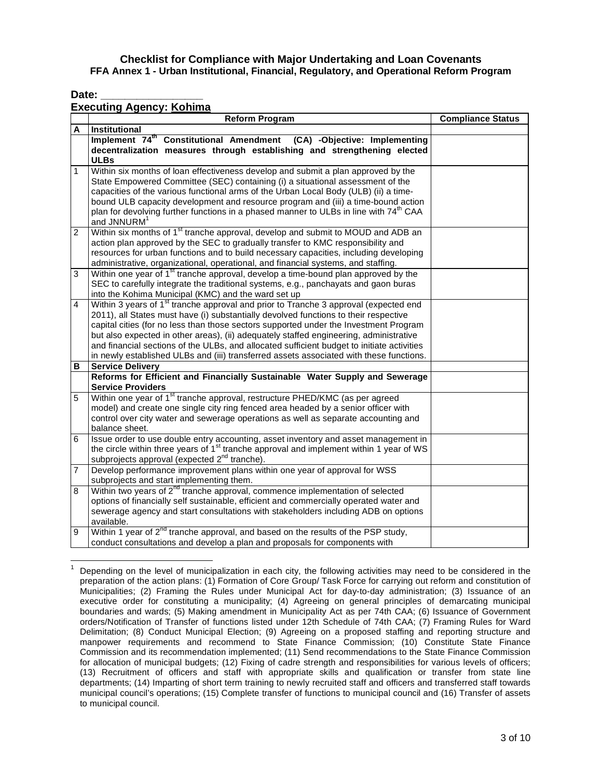Date:

 $\overline{a}$ 

#### **Executing Agency: Kohima**

|                         | Reform Program                                                                                                                                                                                                                                                                                                                                                                                                                                                                                                                                                       | <b>Compliance Status</b> |
|-------------------------|----------------------------------------------------------------------------------------------------------------------------------------------------------------------------------------------------------------------------------------------------------------------------------------------------------------------------------------------------------------------------------------------------------------------------------------------------------------------------------------------------------------------------------------------------------------------|--------------------------|
| Α                       | Institutional                                                                                                                                                                                                                                                                                                                                                                                                                                                                                                                                                        |                          |
|                         | Implement 74 <sup>th</sup> Constitutional Amendment (CA) -Objective: Implementing<br>decentralization measures through establishing and strengthening elected<br><b>ULBs</b>                                                                                                                                                                                                                                                                                                                                                                                         |                          |
| 1                       | Within six months of loan effectiveness develop and submit a plan approved by the<br>State Empowered Committee (SEC) containing (i) a situational assessment of the<br>capacities of the various functional arms of the Urban Local Body (ULB) (ii) a time-<br>bound ULB capacity development and resource program and (iii) a time-bound action<br>plan for devolving further functions in a phased manner to ULBs in line with 74 <sup>th</sup> CAA<br>and JNNURM <sup>1</sup>                                                                                     |                          |
| 2                       | Within six months of 1 <sup>st</sup> tranche approval, develop and submit to MOUD and ADB an<br>action plan approved by the SEC to gradually transfer to KMC responsibility and<br>resources for urban functions and to build necessary capacities, including developing<br>administrative, organizational, operational, and financial systems, and staffing.                                                                                                                                                                                                        |                          |
| 3                       | Within one year of 1 <sup>st</sup> tranche approval, develop a time-bound plan approved by the<br>SEC to carefully integrate the traditional systems, e.g., panchayats and gaon buras<br>into the Kohima Municipal (KMC) and the ward set up                                                                                                                                                                                                                                                                                                                         |                          |
| $\overline{\mathbf{4}}$ | Within 3 years of 1 <sup>st</sup> tranche approval and prior to Tranche 3 approval (expected end<br>2011), all States must have (i) substantially devolved functions to their respective<br>capital cities (for no less than those sectors supported under the Investment Program<br>but also expected in other areas), (ii) adequately staffed engineering, administrative<br>and financial sections of the ULBs, and allocated sufficient budget to initiate activities<br>in newly established ULBs and (iii) transferred assets associated with these functions. |                          |
| в                       | <b>Service Delivery</b>                                                                                                                                                                                                                                                                                                                                                                                                                                                                                                                                              |                          |
|                         | Reforms for Efficient and Financially Sustainable Water Supply and Sewerage<br><b>Service Providers</b>                                                                                                                                                                                                                                                                                                                                                                                                                                                              |                          |
| 5                       | Within one year of 1 <sup>st</sup> tranche approval, restructure PHED/KMC (as per agreed<br>model) and create one single city ring fenced area headed by a senior officer with<br>control over city water and sewerage operations as well as separate accounting and<br>balance sheet.                                                                                                                                                                                                                                                                               |                          |
| 6                       | Issue order to use double entry accounting, asset inventory and asset management in<br>the circle within three years of 1 <sup>st</sup> tranche approval and implement within 1 year of WS<br>subprojects approval (expected 2 <sup>nd</sup> tranche).                                                                                                                                                                                                                                                                                                               |                          |
| 7                       | Develop performance improvement plans within one year of approval for WSS<br>subprojects and start implementing them.                                                                                                                                                                                                                                                                                                                                                                                                                                                |                          |
| 8                       | Within two years of 2 <sup>nd</sup> tranche approval, commence implementation of selected<br>options of financially self sustainable, efficient and commercially operated water and<br>sewerage agency and start consultations with stakeholders including ADB on options<br>available.                                                                                                                                                                                                                                                                              |                          |
| 9                       | Within 1 year of 2 <sup>nd</sup> tranche approval, and based on the results of the PSP study,<br>conduct consultations and develop a plan and proposals for components with                                                                                                                                                                                                                                                                                                                                                                                          |                          |

<sup>1</sup> Depending on the level of municipalization in each city, the following activities may need to be considered in the preparation of the action plans: (1) Formation of Core Group/ Task Force for carrying out reform and constitution of Municipalities; (2) Framing the Rules under Municipal Act for day-to-day administration; (3) Issuance of an executive order for constituting a municipality; (4) Agreeing on general principles of demarcating municipal boundaries and wards; (5) Making amendment in Municipality Act as per 74th CAA; (6) Issuance of Government orders/Notification of Transfer of functions listed under 12th Schedule of 74th CAA; (7) Framing Rules for Ward Delimitation; (8) Conduct Municipal Election; (9) Agreeing on a proposed staffing and reporting structure and manpower requirements and recommend to State Finance Commission; (10) Constitute State Finance Commission and its recommendation implemented; (11) Send recommendations to the State Finance Commission for allocation of municipal budgets; (12) Fixing of cadre strength and responsibilities for various levels of officers; (13) Recruitment of officers and staff with appropriate skills and qualification or transfer from state line departments; (14) Imparting of short term training to newly recruited staff and officers and transferred staff towards municipal council's operations; (15) Complete transfer of functions to municipal council and (16) Transfer of assets to municipal council.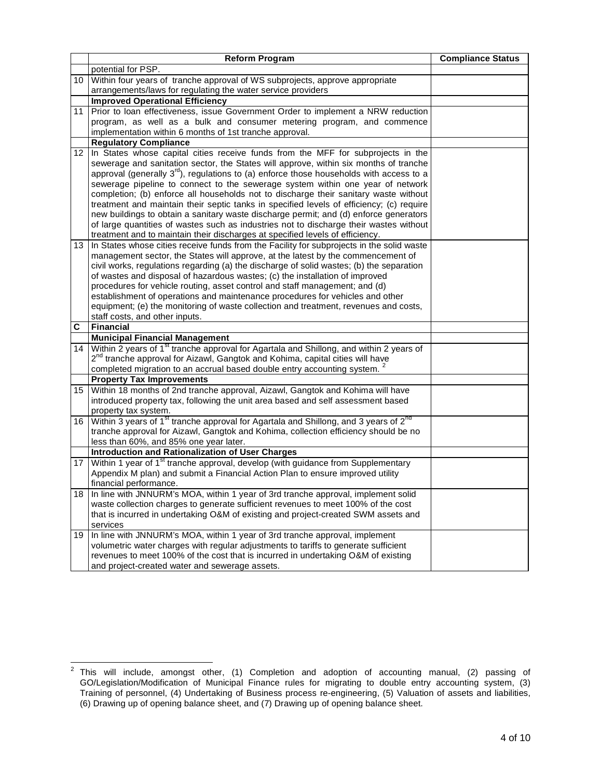|                  | <b>Reform Program</b>                                                                                                                        | <b>Compliance Status</b> |
|------------------|----------------------------------------------------------------------------------------------------------------------------------------------|--------------------------|
|                  | potential for PSP.                                                                                                                           |                          |
|                  | 10 Within four years of tranche approval of WS subprojects, approve appropriate                                                              |                          |
|                  | arrangements/laws for regulating the water service providers                                                                                 |                          |
|                  | <b>Improved Operational Efficiency</b>                                                                                                       |                          |
| 11               | Prior to loan effectiveness, issue Government Order to implement a NRW reduction                                                             |                          |
|                  | program, as well as a bulk and consumer metering program, and commence                                                                       |                          |
|                  | implementation within 6 months of 1st tranche approval.                                                                                      |                          |
|                  | <b>Regulatory Compliance</b>                                                                                                                 |                          |
| 12 <sup>2</sup>  | In States whose capital cities receive funds from the MFF for subprojects in the                                                             |                          |
|                  | sewerage and sanitation sector, the States will approve, within six months of tranche                                                        |                          |
|                  | approval (generally 3 <sup>rd</sup> ), regulations to (a) enforce those households with access to a                                          |                          |
|                  | sewerage pipeline to connect to the sewerage system within one year of network                                                               |                          |
|                  | completion; (b) enforce all households not to discharge their sanitary waste without                                                         |                          |
|                  | treatment and maintain their septic tanks in specified levels of efficiency; (c) require                                                     |                          |
|                  | new buildings to obtain a sanitary waste discharge permit; and (d) enforce generators                                                        |                          |
|                  | of large quantities of wastes such as industries not to discharge their wastes without                                                       |                          |
|                  | treatment and to maintain their discharges at specified levels of efficiency.                                                                |                          |
| 13.              | In States whose cities receive funds from the Facility for subprojects in the solid waste                                                    |                          |
|                  | management sector, the States will approve, at the latest by the commencement of                                                             |                          |
|                  | civil works, regulations regarding (a) the discharge of solid wastes; (b) the separation                                                     |                          |
|                  | of wastes and disposal of hazardous wastes; (c) the installation of improved                                                                 |                          |
|                  | procedures for vehicle routing, asset control and staff management; and (d)                                                                  |                          |
|                  | establishment of operations and maintenance procedures for vehicles and other                                                                |                          |
|                  | equipment; (e) the monitoring of waste collection and treatment, revenues and costs,                                                         |                          |
|                  | staff costs, and other inputs.                                                                                                               |                          |
| C                | <b>Financial</b>                                                                                                                             |                          |
| 14               | <b>Municipal Financial Management</b><br>Within 2 years of 1 <sup>st</sup> tranche approval for Agartala and Shillong, and within 2 years of |                          |
|                  | 2 <sup>nd</sup> tranche approval for Aizawl, Gangtok and Kohima, capital cities will have                                                    |                          |
|                  | completed migration to an accrual based double entry accounting system.                                                                      |                          |
|                  | <b>Property Tax Improvements</b>                                                                                                             |                          |
| 15 <sup>15</sup> | Within 18 months of 2nd tranche approval, Aizawl, Gangtok and Kohima will have                                                               |                          |
|                  | introduced property tax, following the unit area based and self assessment based                                                             |                          |
|                  | property tax system.                                                                                                                         |                          |
|                  | 16 Within 3 years of 1 <sup>st</sup> tranche approval for Agartala and Shillong, and 3 years of 2 <sup>nd</sup>                              |                          |
|                  | tranche approval for Aizawl, Gangtok and Kohima, collection efficiency should be no                                                          |                          |
|                  | less than 60%, and 85% one year later.                                                                                                       |                          |
|                  | <b>Introduction and Rationalization of User Charges</b>                                                                                      |                          |
|                  | 17 Within 1 year of 1 <sup>st</sup> tranche approval, develop (with guidance from Supplementary                                              |                          |
|                  | Appendix M plan) and submit a Financial Action Plan to ensure improved utility                                                               |                          |
|                  | financial performance.                                                                                                                       |                          |
| 18 I             | In line with JNNURM's MOA, within 1 year of 3rd tranche approval, implement solid                                                            |                          |
|                  | waste collection charges to generate sufficient revenues to meet 100% of the cost                                                            |                          |
|                  | that is incurred in undertaking O&M of existing and project-created SWM assets and                                                           |                          |
|                  | services                                                                                                                                     |                          |
| 19               | In line with JNNURM's MOA, within 1 year of 3rd tranche approval, implement                                                                  |                          |
|                  | volumetric water charges with regular adjustments to tariffs to generate sufficient                                                          |                          |
|                  | revenues to meet 100% of the cost that is incurred in undertaking O&M of existing                                                            |                          |
|                  | and project-created water and sewerage assets.                                                                                               |                          |

 $^2$  This will include, amongst other, (1) Completion and adoption of accounting manual, (2) passing of GO/Legislation/Modification of Municipal Finance rules for migrating to double entry accounting system, (3) Training of personnel, (4) Undertaking of Business process re-engineering, (5) Valuation of assets and liabilities, (6) Drawing up of opening balance sheet, and (7) Drawing up of opening balance sheet.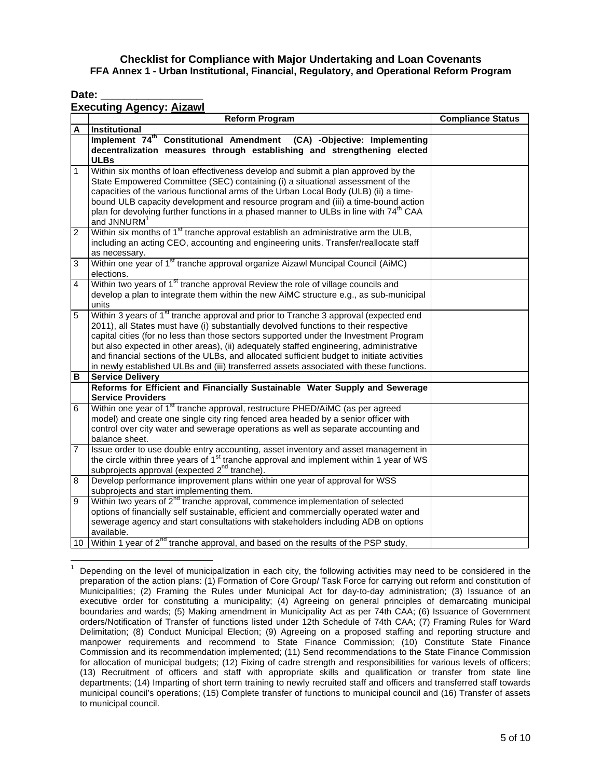Date:

## **Executing Agency: Aizawl**

|                | ו האסטאורואן האסווט אי הובע<br><b>Reform Program</b>                                                                                  | <b>Compliance Status</b> |
|----------------|---------------------------------------------------------------------------------------------------------------------------------------|--------------------------|
| A              | <b>Institutional</b>                                                                                                                  |                          |
|                | Implement 74 <sup>th</sup> Constitutional Amendment (CA) -Objective: Implementing                                                     |                          |
|                | decentralization measures through establishing and strengthening elected                                                              |                          |
|                | <b>ULBs</b>                                                                                                                           |                          |
| 1              | Within six months of loan effectiveness develop and submit a plan approved by the                                                     |                          |
|                | State Empowered Committee (SEC) containing (i) a situational assessment of the                                                        |                          |
|                | capacities of the various functional arms of the Urban Local Body (ULB) (ii) a time-                                                  |                          |
|                | bound ULB capacity development and resource program and (iii) a time-bound action                                                     |                          |
|                | plan for devolving further functions in a phased manner to ULBs in line with 74 <sup>th</sup> CAA                                     |                          |
|                | and JNNURM <sup>1</sup>                                                                                                               |                          |
| $\overline{2}$ | Within six months of 1 <sup>st</sup> tranche approval establish an administrative arm the ULB,                                        |                          |
|                | including an acting CEO, accounting and engineering units. Transfer/reallocate staff                                                  |                          |
|                | as necessary.                                                                                                                         |                          |
| 3              | Within one year of 1 <sup>st</sup> tranche approval organize Aizawl Muncipal Council (AiMC)                                           |                          |
| 4              | elections.<br>Within two years of 1 <sup>st</sup> tranche approval Review the role of village councils and                            |                          |
|                | develop a plan to integrate them within the new AiMC structure e.g., as sub-municipal                                                 |                          |
|                | units                                                                                                                                 |                          |
| 5              | Within 3 years of 1 <sup>st</sup> tranche approval and prior to Tranche 3 approval (expected end                                      |                          |
|                | 2011), all States must have (i) substantially devolved functions to their respective                                                  |                          |
|                | capital cities (for no less than those sectors supported under the Investment Program                                                 |                          |
|                | but also expected in other areas), (ii) adequately staffed engineering, administrative                                                |                          |
|                | and financial sections of the ULBs, and allocated sufficient budget to initiate activities                                            |                          |
|                | in newly established ULBs and (iii) transferred assets associated with these functions.                                               |                          |
| в              | <b>Service Delivery</b>                                                                                                               |                          |
|                | Reforms for Efficient and Financially Sustainable Water Supply and Sewerage                                                           |                          |
|                | <b>Service Providers</b>                                                                                                              |                          |
| 6              | Within one year of 1 <sup>st</sup> tranche approval, restructure PHED/AiMC (as per agreed                                             |                          |
|                | model) and create one single city ring fenced area headed by a senior officer with                                                    |                          |
|                | control over city water and sewerage operations as well as separate accounting and                                                    |                          |
|                | balance sheet.                                                                                                                        |                          |
| 7              | Issue order to use double entry accounting, asset inventory and asset management in                                                   |                          |
|                | the circle within three years of 1 <sup>st</sup> tranche approval and implement within 1 year of WS                                   |                          |
|                | subprojects approval (expected 2 <sup>nd</sup> tranche).                                                                              |                          |
| 8              | Develop performance improvement plans within one year of approval for WSS                                                             |                          |
| 9              | subprojects and start implementing them.<br>Within two years of 2 <sup>nd</sup> tranche approval, commence implementation of selected |                          |
|                | options of financially self sustainable, efficient and commercially operated water and                                                |                          |
|                | sewerage agency and start consultations with stakeholders including ADB on options                                                    |                          |
|                | available.                                                                                                                            |                          |
|                | 10 Within 1 year of 2 <sup>nd</sup> tranche approval, and based on the results of the PSP study,                                      |                          |
|                |                                                                                                                                       |                          |

 $\overline{a}$ 1 Depending on the level of municipalization in each city, the following activities may need to be considered in the preparation of the action plans: (1) Formation of Core Group/ Task Force for carrying out reform and constitution of Municipalities; (2) Framing the Rules under Municipal Act for day-to-day administration; (3) Issuance of an executive order for constituting a municipality; (4) Agreeing on general principles of demarcating municipal boundaries and wards; (5) Making amendment in Municipality Act as per 74th CAA; (6) Issuance of Government orders/Notification of Transfer of functions listed under 12th Schedule of 74th CAA; (7) Framing Rules for Ward Delimitation; (8) Conduct Municipal Election; (9) Agreeing on a proposed staffing and reporting structure and manpower requirements and recommend to State Finance Commission; (10) Constitute State Finance Commission and its recommendation implemented; (11) Send recommendations to the State Finance Commission for allocation of municipal budgets; (12) Fixing of cadre strength and responsibilities for various levels of officers; (13) Recruitment of officers and staff with appropriate skills and qualification or transfer from state line departments; (14) Imparting of short term training to newly recruited staff and officers and transferred staff towards municipal council's operations; (15) Complete transfer of functions to municipal council and (16) Transfer of assets to municipal council.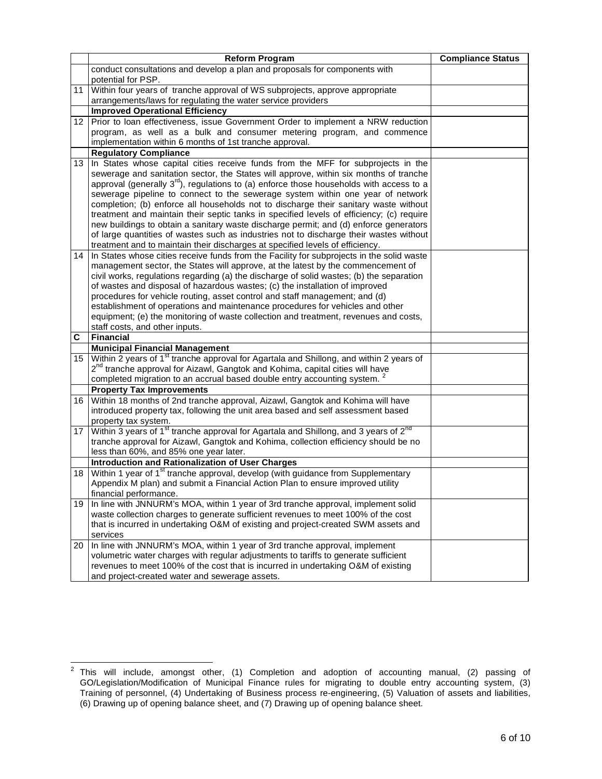|                 | <b>Reform Program</b>                                                                                                                                                        | <b>Compliance Status</b> |
|-----------------|------------------------------------------------------------------------------------------------------------------------------------------------------------------------------|--------------------------|
|                 | conduct consultations and develop a plan and proposals for components with                                                                                                   |                          |
|                 | potential for PSP.                                                                                                                                                           |                          |
|                 | 11 Within four years of tranche approval of WS subprojects, approve appropriate                                                                                              |                          |
|                 | arrangements/laws for regulating the water service providers                                                                                                                 |                          |
|                 | <b>Improved Operational Efficiency</b>                                                                                                                                       |                          |
| 12 <sub>1</sub> | Prior to loan effectiveness, issue Government Order to implement a NRW reduction                                                                                             |                          |
|                 | program, as well as a bulk and consumer metering program, and commence                                                                                                       |                          |
|                 | implementation within 6 months of 1st tranche approval.                                                                                                                      |                          |
|                 | <b>Regulatory Compliance</b>                                                                                                                                                 |                          |
| 13 <sup>1</sup> | In States whose capital cities receive funds from the MFF for subprojects in the                                                                                             |                          |
|                 | sewerage and sanitation sector, the States will approve, within six months of tranche                                                                                        |                          |
|                 | approval (generally $3^{rd}$ ), regulations to (a) enforce those households with access to a                                                                                 |                          |
|                 | sewerage pipeline to connect to the sewerage system within one year of network                                                                                               |                          |
|                 | completion; (b) enforce all households not to discharge their sanitary waste without                                                                                         |                          |
|                 | treatment and maintain their septic tanks in specified levels of efficiency; (c) require                                                                                     |                          |
|                 | new buildings to obtain a sanitary waste discharge permit; and (d) enforce generators                                                                                        |                          |
|                 | of large quantities of wastes such as industries not to discharge their wastes without                                                                                       |                          |
|                 | treatment and to maintain their discharges at specified levels of efficiency.                                                                                                |                          |
|                 | 14 In States whose cities receive funds from the Facility for subprojects in the solid waste                                                                                 |                          |
|                 | management sector, the States will approve, at the latest by the commencement of<br>civil works, regulations regarding (a) the discharge of solid wastes; (b) the separation |                          |
|                 | of wastes and disposal of hazardous wastes; (c) the installation of improved                                                                                                 |                          |
|                 | procedures for vehicle routing, asset control and staff management; and (d)                                                                                                  |                          |
|                 | establishment of operations and maintenance procedures for vehicles and other                                                                                                |                          |
|                 | equipment; (e) the monitoring of waste collection and treatment, revenues and costs,                                                                                         |                          |
|                 | staff costs, and other inputs.                                                                                                                                               |                          |
| C               | <b>Financial</b>                                                                                                                                                             |                          |
|                 | <b>Municipal Financial Management</b>                                                                                                                                        |                          |
| 15 <sup>1</sup> | Within 2 years of 1 <sup>st</sup> tranche approval for Agartala and Shillong, and within 2 years of                                                                          |                          |
|                 | 2 <sup>nd</sup> tranche approval for Aizawl, Gangtok and Kohima, capital cities will have                                                                                    |                          |
|                 | completed migration to an accrual based double entry accounting system.                                                                                                      |                          |
|                 | <b>Property Tax Improvements</b>                                                                                                                                             |                          |
| 16 I            | Within 18 months of 2nd tranche approval, Aizawl, Gangtok and Kohima will have                                                                                               |                          |
|                 | introduced property tax, following the unit area based and self assessment based                                                                                             |                          |
|                 | property tax system.                                                                                                                                                         |                          |
|                 | 17   Within 3 years of 1 <sup>st</sup> tranche approval for Agartala and Shillong, and 3 years of 2 <sup>nd</sup>                                                            |                          |
|                 | tranche approval for Aizawl, Gangtok and Kohima, collection efficiency should be no                                                                                          |                          |
|                 | less than 60%, and 85% one year later.                                                                                                                                       |                          |
|                 | <b>Introduction and Rationalization of User Charges</b>                                                                                                                      |                          |
|                 | 18 Within 1 year of 1 <sup>st</sup> tranche approval, develop (with guidance from Supplementary                                                                              |                          |
|                 | Appendix M plan) and submit a Financial Action Plan to ensure improved utility                                                                                               |                          |
|                 | financial performance.                                                                                                                                                       |                          |
| 19 I            | In line with JNNURM's MOA, within 1 year of 3rd tranche approval, implement solid                                                                                            |                          |
|                 | waste collection charges to generate sufficient revenues to meet 100% of the cost                                                                                            |                          |
|                 | that is incurred in undertaking O&M of existing and project-created SWM assets and                                                                                           |                          |
| 20              | services<br>In line with JNNURM's MOA, within 1 year of 3rd tranche approval, implement                                                                                      |                          |
|                 | volumetric water charges with regular adjustments to tariffs to generate sufficient                                                                                          |                          |
|                 | revenues to meet 100% of the cost that is incurred in undertaking O&M of existing                                                                                            |                          |
|                 | and project-created water and sewerage assets.                                                                                                                               |                          |
|                 |                                                                                                                                                                              |                          |

 $^2$  This will include, amongst other, (1) Completion and adoption of accounting manual, (2) passing of GO/Legislation/Modification of Municipal Finance rules for migrating to double entry accounting system, (3) Training of personnel, (4) Undertaking of Business process re-engineering, (5) Valuation of assets and liabilities, (6) Drawing up of opening balance sheet, and (7) Drawing up of opening balance sheet.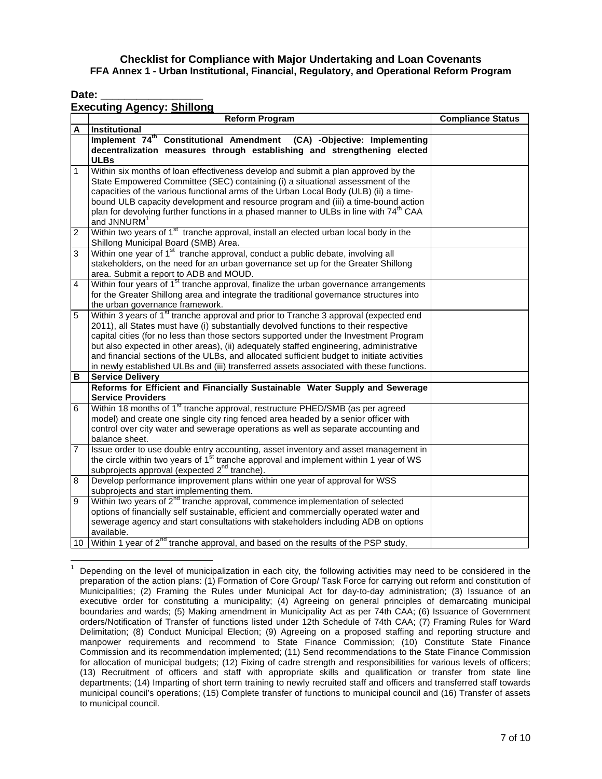Date:

# **Executing Agency: Shillong**

|                | בא <del>כ</del> טעווווט השפרוטץ. <u>טוווווטווע</u><br><b>Reform Program</b>                                                         | <b>Compliance Status</b> |
|----------------|-------------------------------------------------------------------------------------------------------------------------------------|--------------------------|
| Α              | <b>Institutional</b>                                                                                                                |                          |
|                | Implement 74 <sup>th</sup> Constitutional Amendment (CA) -Objective: Implementing                                                   |                          |
|                | decentralization measures through establishing and strengthening elected                                                            |                          |
|                | <b>ULBs</b>                                                                                                                         |                          |
| 1              | Within six months of loan effectiveness develop and submit a plan approved by the                                                   |                          |
|                | State Empowered Committee (SEC) containing (i) a situational assessment of the                                                      |                          |
|                | capacities of the various functional arms of the Urban Local Body (ULB) (ii) a time-                                                |                          |
|                | bound ULB capacity development and resource program and (iii) a time-bound action                                                   |                          |
|                | plan for devolving further functions in a phased manner to ULBs in line with 74 <sup>th</sup> CAA                                   |                          |
|                | and JNNURM <sup>1</sup>                                                                                                             |                          |
| $\overline{2}$ | Within two years of 1 <sup>st</sup> tranche approval, install an elected urban local body in the                                    |                          |
|                | Shillong Municipal Board (SMB) Area.                                                                                                |                          |
| 3              | Within one year of 1 <sup>st</sup> tranche approval, conduct a public debate, involving all                                         |                          |
|                | stakeholders, on the need for an urban governance set up for the Greater Shillong                                                   |                          |
|                | area. Submit a report to ADB and MOUD.                                                                                              |                          |
| 4              | Within four years of 1 <sup>st</sup> tranche approval, finalize the urban governance arrangements                                   |                          |
|                | for the Greater Shillong area and integrate the traditional governance structures into                                              |                          |
| 5              | the urban governance framework.<br>Within 3 years of 1 <sup>st</sup> tranche approval and prior to Tranche 3 approval (expected end |                          |
|                | 2011), all States must have (i) substantially devolved functions to their respective                                                |                          |
|                | capital cities (for no less than those sectors supported under the Investment Program                                               |                          |
|                | but also expected in other areas), (ii) adequately staffed engineering, administrative                                              |                          |
|                | and financial sections of the ULBs, and allocated sufficient budget to initiate activities                                          |                          |
|                | in newly established ULBs and (iii) transferred assets associated with these functions.                                             |                          |
| в              | <b>Service Delivery</b>                                                                                                             |                          |
|                | Reforms for Efficient and Financially Sustainable Water Supply and Sewerage                                                         |                          |
|                | <b>Service Providers</b>                                                                                                            |                          |
| 6              | Within 18 months of 1 <sup>st</sup> tranche approval, restructure PHED/SMB (as per agreed                                           |                          |
|                | model) and create one single city ring fenced area headed by a senior officer with                                                  |                          |
|                | control over city water and sewerage operations as well as separate accounting and                                                  |                          |
|                | balance sheet.                                                                                                                      |                          |
| 7              | Issue order to use double entry accounting, asset inventory and asset management in                                                 |                          |
|                | the circle within two years of 1 <sup>st</sup> tranche approval and implement within 1 year of WS                                   |                          |
|                | subprojects approval (expected 2 <sup>nd</sup> tranche).                                                                            |                          |
| 8              | Develop performance improvement plans within one year of approval for WSS                                                           |                          |
|                | subprojects and start implementing them.                                                                                            |                          |
| 9              | Within two years of 2 <sup>nd</sup> tranche approval, commence implementation of selected                                           |                          |
|                | options of financially self sustainable, efficient and commercially operated water and                                              |                          |
|                | sewerage agency and start consultations with stakeholders including ADB on options                                                  |                          |
|                | available.<br>10 Within 1 year of 2 <sup>nd</sup> tranche approval, and based on the results of the PSP study,                      |                          |
|                |                                                                                                                                     |                          |

 $\overline{a}$ 1 Depending on the level of municipalization in each city, the following activities may need to be considered in the preparation of the action plans: (1) Formation of Core Group/ Task Force for carrying out reform and constitution of Municipalities; (2) Framing the Rules under Municipal Act for day-to-day administration; (3) Issuance of an executive order for constituting a municipality; (4) Agreeing on general principles of demarcating municipal boundaries and wards; (5) Making amendment in Municipality Act as per 74th CAA; (6) Issuance of Government orders/Notification of Transfer of functions listed under 12th Schedule of 74th CAA; (7) Framing Rules for Ward Delimitation; (8) Conduct Municipal Election; (9) Agreeing on a proposed staffing and reporting structure and manpower requirements and recommend to State Finance Commission; (10) Constitute State Finance Commission and its recommendation implemented; (11) Send recommendations to the State Finance Commission for allocation of municipal budgets; (12) Fixing of cadre strength and responsibilities for various levels of officers; (13) Recruitment of officers and staff with appropriate skills and qualification or transfer from state line departments; (14) Imparting of short term training to newly recruited staff and officers and transferred staff towards municipal council's operations; (15) Complete transfer of functions to municipal council and (16) Transfer of assets to municipal council.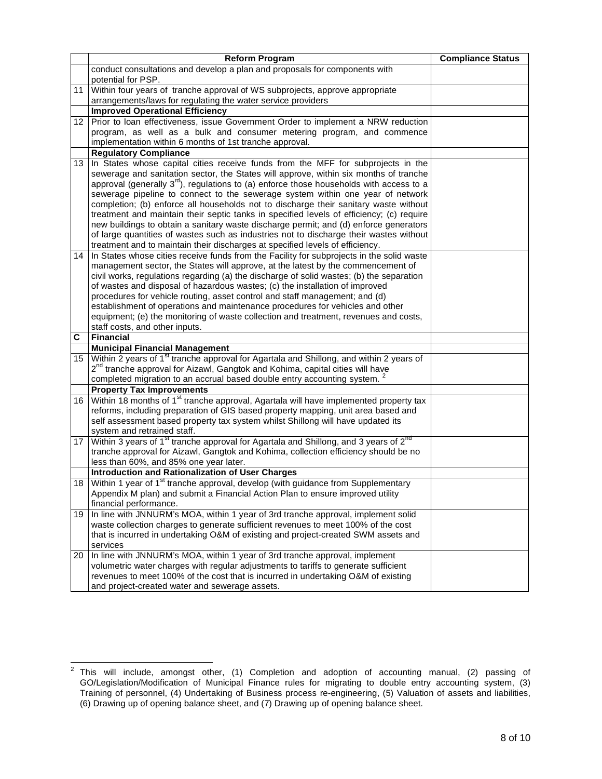|                  | <b>Reform Program</b>                                                                                                                        | <b>Compliance Status</b> |
|------------------|----------------------------------------------------------------------------------------------------------------------------------------------|--------------------------|
|                  | conduct consultations and develop a plan and proposals for components with                                                                   |                          |
|                  | potential for PSP.                                                                                                                           |                          |
|                  | 11 Within four years of tranche approval of WS subprojects, approve appropriate                                                              |                          |
|                  | arrangements/laws for regulating the water service providers                                                                                 |                          |
|                  | <b>Improved Operational Efficiency</b>                                                                                                       |                          |
|                  | 12 Prior to loan effectiveness, issue Government Order to implement a NRW reduction                                                          |                          |
|                  | program, as well as a bulk and consumer metering program, and commence                                                                       |                          |
|                  | implementation within 6 months of 1st tranche approval.                                                                                      |                          |
|                  | <b>Regulatory Compliance</b>                                                                                                                 |                          |
| 13 <sup>1</sup>  | In States whose capital cities receive funds from the MFF for subprojects in the                                                             |                          |
|                  | sewerage and sanitation sector, the States will approve, within six months of tranche                                                        |                          |
|                  | approval (generally 3 <sup>rd</sup> ), regulations to (a) enforce those households with access to a                                          |                          |
|                  | sewerage pipeline to connect to the sewerage system within one year of network                                                               |                          |
|                  | completion; (b) enforce all households not to discharge their sanitary waste without                                                         |                          |
|                  | treatment and maintain their septic tanks in specified levels of efficiency; (c) require                                                     |                          |
|                  | new buildings to obtain a sanitary waste discharge permit; and (d) enforce generators                                                        |                          |
|                  | of large quantities of wastes such as industries not to discharge their wastes without                                                       |                          |
|                  | treatment and to maintain their discharges at specified levels of efficiency.                                                                |                          |
|                  | 14 In States whose cities receive funds from the Facility for subprojects in the solid waste                                                 |                          |
|                  | management sector, the States will approve, at the latest by the commencement of                                                             |                          |
|                  | civil works, regulations regarding (a) the discharge of solid wastes; (b) the separation                                                     |                          |
|                  | of wastes and disposal of hazardous wastes; (c) the installation of improved                                                                 |                          |
|                  | procedures for vehicle routing, asset control and staff management; and (d)                                                                  |                          |
|                  | establishment of operations and maintenance procedures for vehicles and other                                                                |                          |
|                  | equipment; (e) the monitoring of waste collection and treatment, revenues and costs,                                                         |                          |
|                  | staff costs, and other inputs.                                                                                                               |                          |
| C                | <b>Financial</b>                                                                                                                             |                          |
| 15 <sup>15</sup> | <b>Municipal Financial Management</b><br>Within 2 years of 1 <sup>st</sup> tranche approval for Agartala and Shillong, and within 2 years of |                          |
|                  | 2 <sup>nd</sup> tranche approval for Aizawl, Gangtok and Kohima, capital cities will have                                                    |                          |
|                  | completed migration to an accrual based double entry accounting system.                                                                      |                          |
|                  | <b>Property Tax Improvements</b>                                                                                                             |                          |
| 16               | Within 18 months of 1 <sup>st</sup> tranche approval, Agartala will have implemented property tax                                            |                          |
|                  | reforms, including preparation of GIS based property mapping, unit area based and                                                            |                          |
|                  | self assessment based property tax system whilst Shillong will have updated its                                                              |                          |
|                  | system and retrained staff.                                                                                                                  |                          |
| 17 <sup>1</sup>  | Within 3 years of 1 <sup>st</sup> tranche approval for Agartala and Shillong, and 3 years of 2 <sup>nd</sup>                                 |                          |
|                  | tranche approval for Aizawl, Gangtok and Kohima, collection efficiency should be no                                                          |                          |
|                  | less than 60%, and 85% one year later.                                                                                                       |                          |
|                  | <b>Introduction and Rationalization of User Charges</b>                                                                                      |                          |
| 18 <sup>1</sup>  | Within 1 year of 1 <sup>st</sup> tranche approval, develop (with guidance from Supplementary                                                 |                          |
|                  | Appendix M plan) and submit a Financial Action Plan to ensure improved utility                                                               |                          |
|                  | financial performance.                                                                                                                       |                          |
| 19 <sup>1</sup>  | In line with JNNURM's MOA, within 1 year of 3rd tranche approval, implement solid                                                            |                          |
|                  | waste collection charges to generate sufficient revenues to meet 100% of the cost                                                            |                          |
|                  | that is incurred in undertaking O&M of existing and project-created SWM assets and                                                           |                          |
|                  | services                                                                                                                                     |                          |
|                  | 20 In line with JNNURM's MOA, within 1 year of 3rd tranche approval, implement                                                               |                          |
|                  | volumetric water charges with regular adjustments to tariffs to generate sufficient                                                          |                          |
|                  | revenues to meet 100% of the cost that is incurred in undertaking O&M of existing                                                            |                          |
|                  | and project-created water and sewerage assets.                                                                                               |                          |

 $^2$  This will include, amongst other, (1) Completion and adoption of accounting manual, (2) passing of GO/Legislation/Modification of Municipal Finance rules for migrating to double entry accounting system, (3) Training of personnel, (4) Undertaking of Business process re-engineering, (5) Valuation of assets and liabilities, (6) Drawing up of opening balance sheet, and (7) Drawing up of opening balance sheet.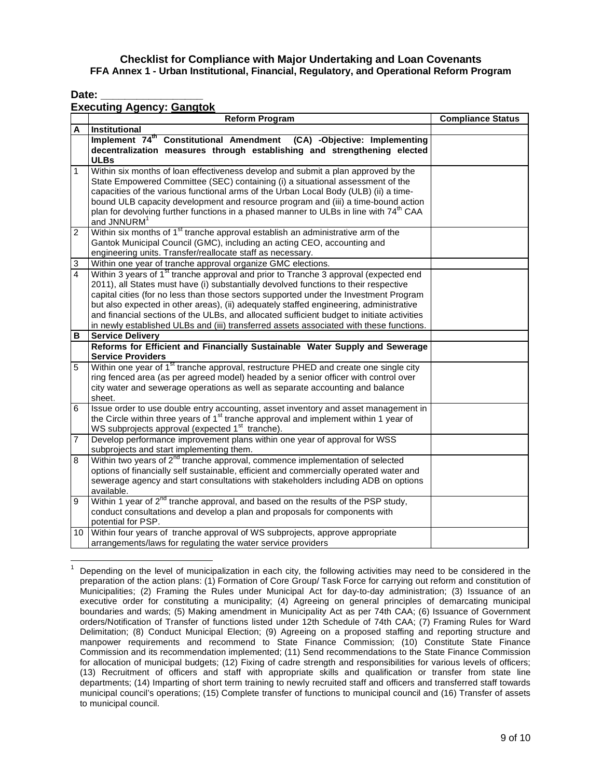Date:

# **Executing Agency: Gangtok**

|                | Lacouung Agonoy. <u>Odnylon</u><br><b>Reform Program</b>                                                                                                                                                                                                                                                                                                                                                                                                                                                                                                             | <b>Compliance Status</b> |
|----------------|----------------------------------------------------------------------------------------------------------------------------------------------------------------------------------------------------------------------------------------------------------------------------------------------------------------------------------------------------------------------------------------------------------------------------------------------------------------------------------------------------------------------------------------------------------------------|--------------------------|
| A              | Institutional                                                                                                                                                                                                                                                                                                                                                                                                                                                                                                                                                        |                          |
|                | Implement 74 <sup>th</sup> Constitutional Amendment (CA) -Objective: Implementing<br>decentralization measures through establishing and strengthening elected<br><b>ULBs</b>                                                                                                                                                                                                                                                                                                                                                                                         |                          |
| 1              | Within six months of loan effectiveness develop and submit a plan approved by the<br>State Empowered Committee (SEC) containing (i) a situational assessment of the<br>capacities of the various functional arms of the Urban Local Body (ULB) (ii) a time-<br>bound ULB capacity development and resource program and (iii) a time-bound action<br>plan for devolving further functions in a phased manner to ULBs in line with 74 <sup>th</sup> CAA<br>and JNNURM <sup>1</sup>                                                                                     |                          |
| 2              | Within six months of 1 <sup>st</sup> tranche approval establish an administrative arm of the<br>Gantok Municipal Council (GMC), including an acting CEO, accounting and<br>engineering units. Transfer/reallocate staff as necessary.                                                                                                                                                                                                                                                                                                                                |                          |
| 3              | Within one year of tranche approval organize GMC elections.                                                                                                                                                                                                                                                                                                                                                                                                                                                                                                          |                          |
| 4              | Within 3 years of 1 <sup>st</sup> tranche approval and prior to Tranche 3 approval (expected end<br>2011), all States must have (i) substantially devolved functions to their respective<br>capital cities (for no less than those sectors supported under the Investment Program<br>but also expected in other areas), (ii) adequately staffed engineering, administrative<br>and financial sections of the ULBs, and allocated sufficient budget to initiate activities<br>in newly established ULBs and (iii) transferred assets associated with these functions. |                          |
| В              | <b>Service Delivery</b>                                                                                                                                                                                                                                                                                                                                                                                                                                                                                                                                              |                          |
|                | Reforms for Efficient and Financially Sustainable Water Supply and Sewerage<br><b>Service Providers</b>                                                                                                                                                                                                                                                                                                                                                                                                                                                              |                          |
| 5              | Within one year of 1 <sup>st</sup> tranche approval, restructure PHED and create one single city<br>ring fenced area (as per agreed model) headed by a senior officer with control over<br>city water and sewerage operations as well as separate accounting and balance<br>sheet.                                                                                                                                                                                                                                                                                   |                          |
| 6              | Issue order to use double entry accounting, asset inventory and asset management in<br>the Circle within three years of 1 <sup>st</sup> tranche approval and implement within 1 year of<br>WS subprojects approval (expected 1 <sup>st</sup> tranche).                                                                                                                                                                                                                                                                                                               |                          |
| $\overline{7}$ | Develop performance improvement plans within one year of approval for WSS<br>subprojects and start implementing them.                                                                                                                                                                                                                                                                                                                                                                                                                                                |                          |
| 8              | Within two years of 2 <sup>nd</sup> tranche approval, commence implementation of selected<br>options of financially self sustainable, efficient and commercially operated water and<br>sewerage agency and start consultations with stakeholders including ADB on options<br>available.                                                                                                                                                                                                                                                                              |                          |
| 9              | Within 1 year of 2 <sup>nd</sup> tranche approval, and based on the results of the PSP study,<br>conduct consultations and develop a plan and proposals for components with<br>potential for PSP.                                                                                                                                                                                                                                                                                                                                                                    |                          |
| 10             | Within four years of tranche approval of WS subprojects, approve appropriate<br>arrangements/laws for regulating the water service providers                                                                                                                                                                                                                                                                                                                                                                                                                         |                          |

 $\overline{a}$ 1 Depending on the level of municipalization in each city, the following activities may need to be considered in the preparation of the action plans: (1) Formation of Core Group/ Task Force for carrying out reform and constitution of Municipalities; (2) Framing the Rules under Municipal Act for day-to-day administration; (3) Issuance of an executive order for constituting a municipality; (4) Agreeing on general principles of demarcating municipal boundaries and wards; (5) Making amendment in Municipality Act as per 74th CAA; (6) Issuance of Government orders/Notification of Transfer of functions listed under 12th Schedule of 74th CAA; (7) Framing Rules for Ward Delimitation; (8) Conduct Municipal Election; (9) Agreeing on a proposed staffing and reporting structure and manpower requirements and recommend to State Finance Commission; (10) Constitute State Finance Commission and its recommendation implemented; (11) Send recommendations to the State Finance Commission for allocation of municipal budgets; (12) Fixing of cadre strength and responsibilities for various levels of officers; (13) Recruitment of officers and staff with appropriate skills and qualification or transfer from state line departments; (14) Imparting of short term training to newly recruited staff and officers and transferred staff towards municipal council's operations; (15) Complete transfer of functions to municipal council and (16) Transfer of assets to municipal council.